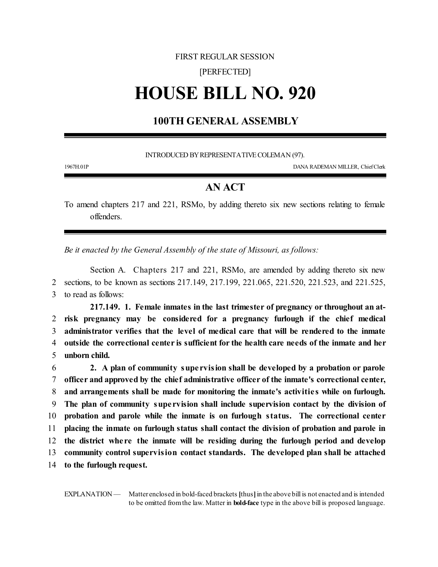### FIRST REGULAR SESSION

### [PERFECTED]

# **HOUSE BILL NO. 920**

## **100TH GENERAL ASSEMBLY**

INTRODUCED BY REPRESENTATIVE COLEMAN (97).

1967H.01P DANA RADEMAN MILLER, ChiefClerk

### **AN ACT**

To amend chapters 217 and 221, RSMo, by adding thereto six new sections relating to female offenders.

*Be it enacted by the General Assembly of the state of Missouri, as follows:*

Section A. Chapters 217 and 221, RSMo, are amended by adding thereto six new 2 sections, to be known as sections 217.149, 217.199, 221.065, 221.520, 221.523, and 221.525, 3 to read as follows:

**217.149. 1. Female inmates in the last trimester of pregnancy or throughout an at- risk pregnancy may be considered for a pregnancy furlough if the chief medical administrator verifies that the level of medical care that will be rendered to the inmate outside the correctional center is sufficient for the health care needs of the inmate and her unborn child.**

 **2. A plan of community supe rvision shall be developed by a probation or parole officer and approved by the chief administrative officer of the inmate's correctional center, and arrangements shall be made for monitoring the inmate's activitie s while on furlough. The plan of community supe rvision shall include supervision contact by the division of probation and parole while the inmate is on furlough status. The correctional center placing the inmate on furlough status shall contact the division of probation and parole in the district whe re the inmate will be residing during the furlough period and develop community control supervision contact standards. The developed plan shall be attached to the furlough request.**

EXPLANATION — Matter enclosed in bold-faced brackets [thus] in the above bill is not enacted and is intended to be omitted fromthe law. Matter in **bold-face** type in the above bill is proposed language.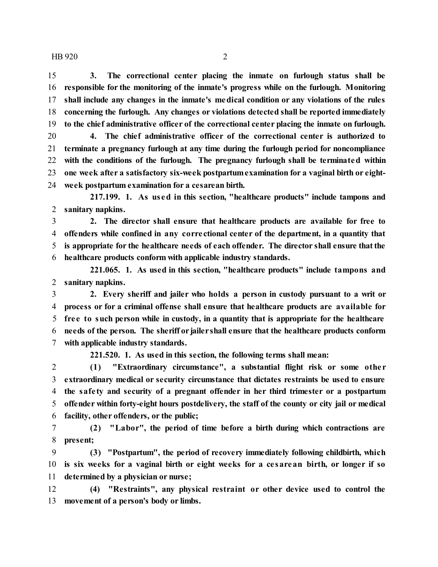$HB 920$  2

 **3. The correctional center placing the inmate on furlough status shall be responsible for the monitoring of the inmate's progress while on the furlough. Monitoring shall include any changes in the inmate's medical condition or any violations of the rules concerning the furlough. Any changes or violations detected shall be reported immediately to the chief administrative officer of the correctional center placing the inmate on furlough. 4. The chief administrative officer of the correctional center is authorized to terminate a pregnancy furlough at any time during the furlough period for noncompliance**

 **with the conditions of the furlough. The pregnancy furlough shall be terminated within one week after a satisfactory six-week postpartumexamination for a vaginal birth or eight-week postpartum examination for a cesarean birth.**

**217.199. 1. As us ed in this section, "healthcare products" include tampons and sanitary napkins.**

 **2. The director shall ensure that healthcare products are available for free to offenders while confined in any corre ctional center of the department, in a quantity that is appropriate for the healthcare needs of each offender. The director shall ensure thatthe healthcare products conform with applicable industry standards.**

**221.065. 1. As used in this section, "healthcare products" include tampons and sanitary napkins.**

 **2. Every sheriff and jailer who holds a person in custody pursuant to a writ or process or for a criminal offense shall ensure that healthcare products are available for fre e to such person while in custody, in a quantity that is appropriate for the healthcare needs of the person. The sheriff or jailershall ensure that the healthcare products conform with applicable industry standards.**

**221.520. 1. As used in this section, the following terms shall mean:**

 **(1) "Extraordinary circumstance", a substantial flight risk or some othe r extraordinary medical or security circumstance that dictates restraints be used to ensure the safe ty and security of a pregnant offender in her third trimester or a postpartum offender within forty-eight hours postdelivery, the staff of the county or city jail or medical facility, other offenders, or the public;**

 **(2) "Labor", the period of time before a birth during which contractions are present;**

 **(3) "Postpartum", the period of recovery immediately following childbirth, which is six weeks for a vaginal birth or eight weeks for a ce sarean birth, or longer if so determined by a physician or nurse;**

 **(4) "Restraints", any physical restraint or other device used to control the movement of a person's body or limbs.**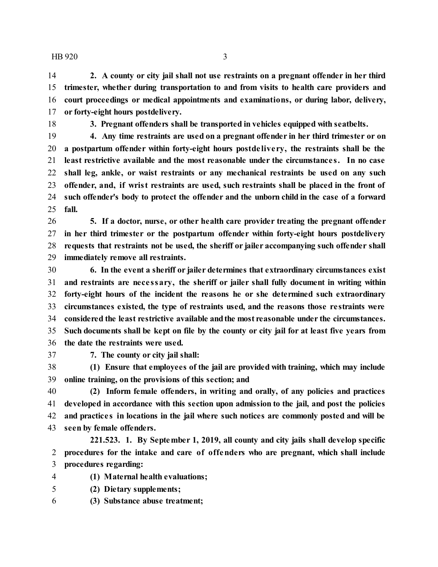$HB 920$  3

 **2. A county or city jail shall not use restraints on a pregnant offender in her third trimester, whether during transportation to and from visits to health care providers and court proceedings or medical appointments and examinations, or during labor, delivery, or forty-eight hours postdelivery.**

**3. Pregnant offenders shall be transported in vehicles equipped with seatbelts.**

 **4. Any time restraints are used on a pregnant offender in her third trimester or on a postpartum offender within forty-eight hours postde live ry, the restraints shall be the least restrictive available and the most reasonable under the circumstance s. In no case shall leg, ankle, or waist restraints or any mechanical restraints be used on any such offender, and, if wrist restraints are used, such restraints shall be placed in the front of such offender's body to protect the offender and the unborn child in the case of a forward fall.**

 **5. If a doctor, nurse, or other health care provider treating the pregnant offender in her third trimester or the postpartum offender within forty-eight hours postdelivery requests that restraints not be used, the sheriff or jailer accompanying such offender shall immediately remove all restraints.**

 **6. In the event a sheriff or jailer determines that extraordinary circumstances exist and restraints are nece ssary, the sheriff or jailer shall fully document in writing within forty-eight hours of the incident the reasons he or she determined such extraordinary circumstances existed, the type of restraints used, and the reasons those re straints were considered the least restrictive available andthe most reasonable under the circumstances. Such documents shall be kept on file by the county or city jail for at least five years from the date the restraints were used.**

**7. The county or city jail shall:**

 **(1) Ensure that employees of the jail are provided with training, which may include online training, on the provisions of this section; and**

 **(2) Inform female offenders, in writing and orally, of any policies and practices developed in accordance with this section upon admission to the jail, and post the policies and practice s in locations in the jail where such notices are commonly posted and will be seen by female offenders.**

**221.523. 1. By September 1, 2019, all county and city jails shall develop specific procedures for the intake and care of offenders who are pregnant, which shall include procedures regarding:**

- **(1) Maternal health evaluations;**
- **(2) Dietary supplements;**
- **(3) Substance abuse treatment;**